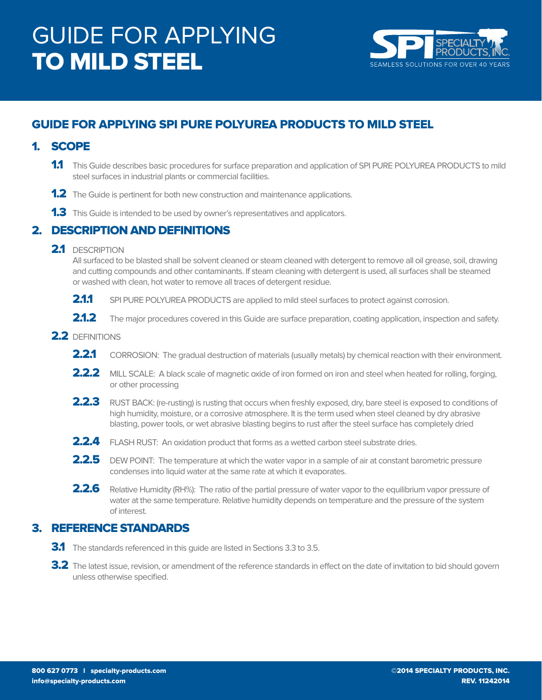

## GUIDE FOR APPLYING SPI PURE POLYUREA PRODUCTS TO MILD STEEL

## 1. SCOPE

- 1.1 This Guide describes basic procedures for surface preparation and application of SPI PURE POLYUREA PRODUCTS to mild steel surfaces in industrial plants or commercial facilities.
- **1.2** The Guide is pertinent for both new construction and maintenance applications.
- **1.3** This Guide is intended to be used by owner's representatives and applicators.

### 2. DESCRIPTION AND DEFINITIONS

#### 2.1 DESCRIPTION

 All surfaced to be blasted shall be solvent cleaned or steam cleaned with detergent to remove all oil grease, soil, drawing and cutting compounds and other contaminants. If steam cleaning with detergent is used, all surfaces shall be steamed or washed with clean, hot water to remove all traces of detergent residue.

- **2.1.1** SPI PURE POLYUREA PRODUCTS are applied to mild steel surfaces to protect against corrosion.
- 2.1.2 The major procedures covered in this Guide are surface preparation, coating application, inspection and safety.
- 2.2 DEFINITIONS
	- **2.2.1** CORROSION: The gradual destruction of materials (usually metals) by chemical reaction with their environment.
	- 2.2.2 MILL SCALE: A black scale of magnetic oxide of iron formed on iron and steel when heated for rolling, forging, or other processing
	- 2.2.3 RUST BACK: (re-rusting) is rusting that occurs when freshly exposed, dry, bare steel is exposed to conditions of high humidity, moisture, or a corrosive atmosphere. It is the term used when steel cleaned by dry abrasive blasting, power tools, or wet abrasive blasting begins to rust after the steel surface has completely dried
	- **2.2.4** FLASH RUST: An oxidation product that forms as a wetted carbon steel substrate dries.
	- 2.2.5 DEW POINT: The temperature at which the water vapor in a sample of air at constant barometric pressure condenses into liquid water at the same rate at which it evaporates.
	- 2.2.6 Relative Humidity (RH%): The ratio of the partial pressure of water vapor to the equilibrium vapor pressure of water at the same temperature. Relative humidity depends on temperature and the pressure of the system of interest.

## 3. REFERENCE STANDARDS

- **3.1** The standards referenced in this guide are listed in Sections 3.3 to 3.5.
- 3.2 The latest issue, revision, or amendment of the reference standards in effect on the date of invitation to bid should govern unless otherwise specified.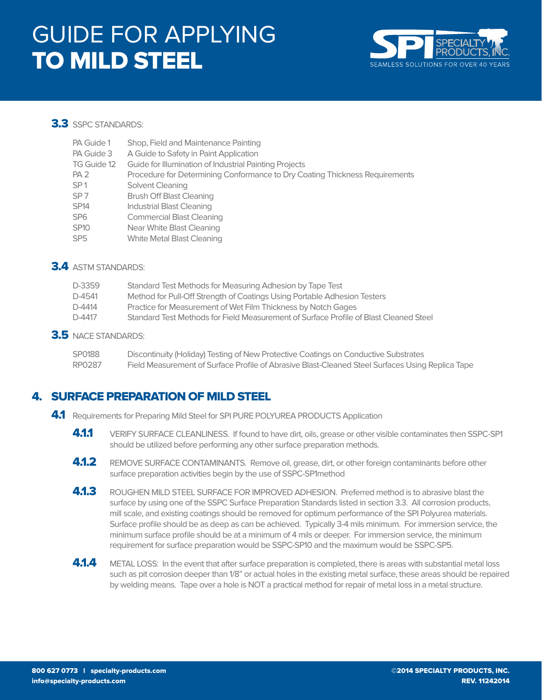

#### 3.3 SSPC STANDARDS:

| PA Guide 1               | Shop, Field and Maintenance Painting                                        |
|--------------------------|-----------------------------------------------------------------------------|
| PA Guide 3               | A Guide to Safety in Paint Application                                      |
| TG Guide 12              | Guide for Illumination of Industrial Painting Projects                      |
| PA <sub>2</sub>          | Procedure for Determining Conformance to Dry Coating Thickness Requirements |
| SP <sub>1</sub>          | Solvent Cleaning                                                            |
| SP <sub>7</sub>          | <b>Brush Off Blast Cleaning</b>                                             |
| <b>SP14</b>              | <b>Industrial Blast Cleaning</b>                                            |
| SP <sub>6</sub>          | <b>Commercial Blast Cleaning</b>                                            |
| <b>SP10</b>              | Near White Blast Cleaning                                                   |
| $\overline{\phantom{m}}$ |                                                                             |

SP5 White Metal Blast Cleaning

#### 3.4 ASTM STANDARDS:

| D-3359   | Standard Test Methods for Measuring Adhesion by Tape Test                             |
|----------|---------------------------------------------------------------------------------------|
| D-4541   | Method for Pull-Off Strength of Coatings Using Portable Adhesion Testers              |
| $D-4414$ | Practice for Measurement of Wet Film Thickness by Notch Gages                         |
| D-4417   | Standard Test Methods for Field Measurement of Surface Profile of Blast Cleaned Steel |
|          |                                                                                       |

3.5 NACE STANDARDS:

| SP0188 | Discontinuity (Holiday) Testing of New Protective Coatings on Conductive Substrates              |
|--------|--------------------------------------------------------------------------------------------------|
| RP0287 | Field Measurement of Surface Profile of Abrasive Blast-Cleaned Steel Surfaces Using Replica Tape |

## 4. SURFACE PREPARATION OF MILD STEEL

- 4.1 Requirements for Preparing Mild Steel for SPI PURE POLYUREA PRODUCTS Application
	- 4.1.1 VERIFY SURFACE CLEANLINESS. If found to have dirt, oils, grease or other visible contaminates then SSPC-SP1 should be utilized before performing any other surface preparation methods.
	- **4.1.2** REMOVE SURFACE CONTAMINANTS. Remove oil, grease, dirt, or other foreign contaminants before other surface preparation activities begin by the use of SSPC-SP1method
	- 4.1.3 ROUGHEN MILD STEEL SURFACE FOR IMPROVED ADHESION. Preferred method is to abrasive blast the surface by using one of the SSPC Surface Preparation Standards listed in section 3.3. All corrosion products, mill scale, and existing coatings should be removed for optimum performance of the SPI Polyurea materials. Surface profile should be as deep as can be achieved. Typically 3-4 mils minimum. For immersion service, the minimum surface profile should be at a minimum of 4 mils or deeper. For immersion service, the minimum requirement for surface preparation would be SSPC-SP10 and the maximum would be SSPC-SP5.
	- 4.1.4 METAL LOSS: In the event that after surface preparation is completed, there is areas with substantial metal loss such as pit corrosion deeper than 1/8" or actual holes in the existing metal surface, these areas should be repaired by welding means. Tape over a hole is NOT a practical method for repair of metal loss in a metal structure.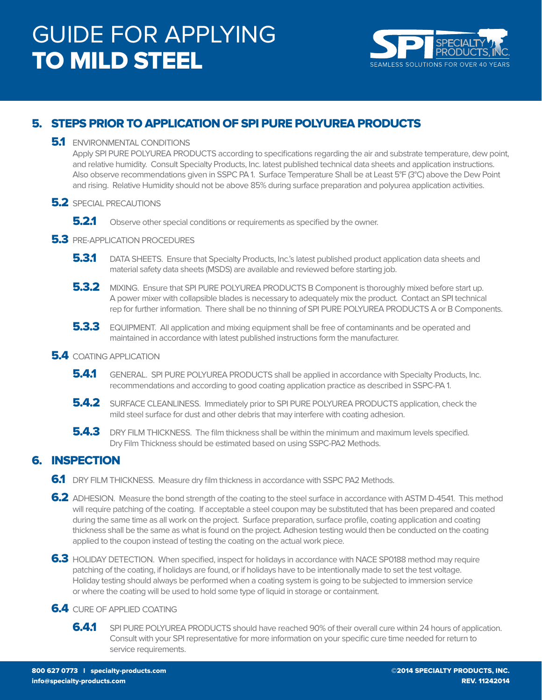

## 5. STEPS PRIOR TO APPLICATION OF SPI PURE POLYUREA PRODUCTS

#### **5.1** ENVIRONMENTAL CONDITIONS

 Apply SPI PURE POLYUREA PRODUCTS according to specifications regarding the air and substrate temperature, dew point, and relative humidity. Consult Specialty Products, Inc. latest published technical data sheets and application instructions. Also observe recommendations given in SSPC PA 1. Surface Temperature Shall be at Least 5°F (3°C) above the Dew Point and rising. Relative Humidity should not be above 85% during surface preparation and polyurea application activities.

#### **5.2** SPECIAL PRECAUTIONS

**5.2.1** Observe other special conditions or requirements as specified by the owner.

#### **5.3** PRE-APPLICATION PROCEDURES

- 5.3.1 DATA SHEETS. Ensure that Specialty Products, Inc.'s latest published product application data sheets and material safety data sheets (MSDS) are available and reviewed before starting job.
- **5.3.2** MIXING. Ensure that SPI PURE POLYUREA PRODUCTS B Component is thoroughly mixed before start up. A power mixer with collapsible blades is necessary to adequately mix the product. Contact an SPI technical rep for further information. There shall be no thinning of SPI PURE POLYUREA PRODUCTS A or B Components.
- **5.3.3** EQUIPMENT. All application and mixing equipment shall be free of contaminants and be operated and maintained in accordance with latest published instructions form the manufacturer.

#### **5.4** COATING APPLICATION

- **5.4.1** GENERAL. SPI PURE POLYUREA PRODUCTS shall be applied in accordance with Specialty Products, Inc. recommendations and according to good coating application practice as described in SSPC-PA 1.
- **5.4.2** SURFACE CLEANLINESS. Immediately prior to SPI PURE POLYUREA PRODUCTS application, check the mild steel surface for dust and other debris that may interfere with coating adhesion.
- **5.4.3** DRY FILM THICKNESS. The film thickness shall be within the minimum and maximum levels specified. Dry Film Thickness should be estimated based on using SSPC-PA2 Methods.

### 6. INSPECTION

- 6.1 DRY FILM THICKNESS. Measure dry film thickness in accordance with SSPC PA2 Methods.
- 6.2 ADHESION. Measure the bond strength of the coating to the steel surface in accordance with ASTM D-4541. This method will require patching of the coating. If acceptable a steel coupon may be substituted that has been prepared and coated during the same time as all work on the project. Surface preparation, surface profile, coating application and coating thickness shall be the same as what is found on the project. Adhesion testing would then be conducted on the coating applied to the coupon instead of testing the coating on the actual work piece.
- 6.3 HOLIDAY DETECTION. When specified, inspect for holidays in accordance with NACE SP0188 method may require patching of the coating, if holidays are found, or if holidays have to be intentionally made to set the test voltage. Holiday testing should always be performed when a coating system is going to be subjected to immersion service or where the coating will be used to hold some type of liquid in storage or containment.

#### **6.4** CURE OF APPLIED COATING

**6.4.1** SPI PURE POLYUREA PRODUCTS should have reached 90% of their overall cure within 24 hours of application. Consult with your SPI representative for more information on your specific cure time needed for return to service requirements.